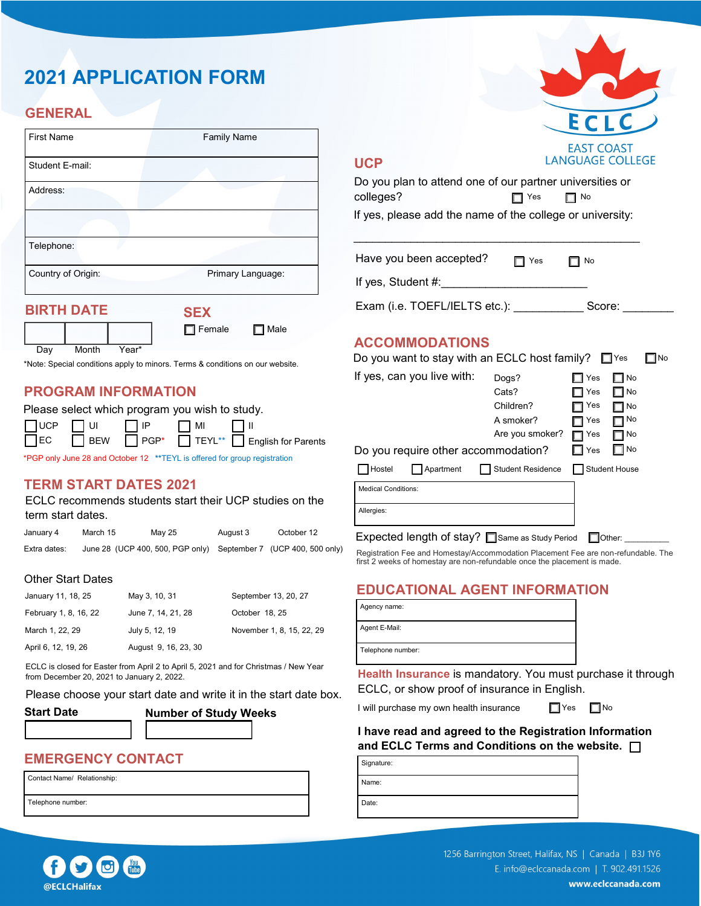# **2021 APPLICATION FORM**

# **GENERAL**

| <b>First Name</b>  | <b>Family Name</b> |
|--------------------|--------------------|
| Student E-mail:    |                    |
| Address:           |                    |
| Telephone:         |                    |
| Country of Origin: | Primary Language:  |
| <b>BIRTH DATE</b>  | <b>SEX</b>         |

|     |       |       | $-1$          |             |
|-----|-------|-------|---------------|-------------|
|     |       |       | $\Box$ Female | $\Box$ Male |
| Dav | Month | Year* |               |             |

\*Note: Special conditions apply to minors. Terms & conditions on our website.

#### **PROGRAM INFORMATION**

|  | Please select which program you wish to study.     |                                         |
|--|----------------------------------------------------|-----------------------------------------|
|  | $\Box$ UCP $\Box$ UI $\Box$ IP $\Box$ MI $\Box$ II |                                         |
|  |                                                    | □EC BEW PGP* TEYL** English for Parents |

\*PGP only June 28 and October 12 **\*\***TEYL is offered for group registration

#### **TERM START DATES 2021**

ECLC recommends students start their UCP studies on the term start dates.

| January 4    | March 15 | May 25 | August 3 | October 12                                                       |
|--------------|----------|--------|----------|------------------------------------------------------------------|
| Extra dates: |          |        |          | June 28 (UCP 400, 500, PGP only) September 7 (UCP 400, 500 only) |

#### Other Start Dates

| January 11, 18, 25    | May 3, 10, 31        | September 13, 20, 27      |
|-----------------------|----------------------|---------------------------|
| February 1, 8, 16, 22 | June 7, 14, 21, 28   | October 18, 25            |
| March 1, 22, 29       | July 5, 12, 19       | November 1, 8, 15, 22, 29 |
| April 6, 12, 19, 26   | August 9, 16, 23, 30 |                           |

ECLC is closed for Easter from April 2 to April 5, 2021 and for Christmas / New Year from December 20, 2021 to January 2, 2022.

Please choose your start date and write it in the start date box.

| <b>Start Date</b> |  |
|-------------------|--|
|-------------------|--|



# **EMERGENCY CONTACT**

Contact Name/ Relationship:

Telephone number:



#### **UCP**

| Do you plan to attend one of our partner universities or  |            |           |
|-----------------------------------------------------------|------------|-----------|
| colleges?                                                 | $\Box$ Yes | $\Box$ No |
| If yes, please add the name of the college or university: |            |           |
|                                                           |            |           |

Have you been accepted?  $\Box$  Yes  $\Box$  No If yes, Student #:

Exam (i.e. TOEFL/IELTS etc.): Score:

#### **ACCOMMODATIONS**

|                            |                            | Do you want to stay with an ECLC host family? $\square$ Yes |            |                      | No |
|----------------------------|----------------------------|-------------------------------------------------------------|------------|----------------------|----|
|                            | If yes, can you live with: | Dogs?                                                       | Yes        | l⊟No                 |    |
|                            |                            | Cats?                                                       | ∃ Yes      | l⊟No                 |    |
|                            |                            | Children?                                                   | Yes        | $\Box$ No            |    |
|                            |                            | A smoker?                                                   | Yes        | $\neg$ No            |    |
|                            |                            | Are you smoker?                                             | $\Box$ Yes | □ No                 |    |
|                            |                            | Do you require other accommodation?                         | Yes        | $\Box$ No            |    |
| Hostel                     | Apartment                  | <b>Student Residence</b>                                    |            | <b>Student House</b> |    |
| <b>Medical Conditions:</b> |                            |                                                             |            |                      |    |
| Allergies:                 |                            |                                                             |            |                      |    |
|                            |                            |                                                             |            |                      |    |
|                            |                            |                                                             |            |                      |    |

Expected length of stay?  $\Box$  Same as Study Period  $\Box$  Other:  $\Box$ 

Registration Fee and Homestay/Accommodation Placement Fee are non-refundable. The first 2 weeks of homestay are non-refundable once the placement is made.

# **EDUCATIONAL AGENT INFORMATION**

Agency name: Agent E-Mail:

Telephone number:

**Health Insurance** is mandatory. You must purchase it through ECLC, or show proof of insurance in English.

I will purchase my own health insurance  $\Box$  Yes

|  | d١ |
|--|----|
|  |    |

**I have read and agreed to the Registration Information and ECLC Terms and Conditions on the website.** 

| Signature: |  |
|------------|--|
| Name:      |  |
| Date:      |  |